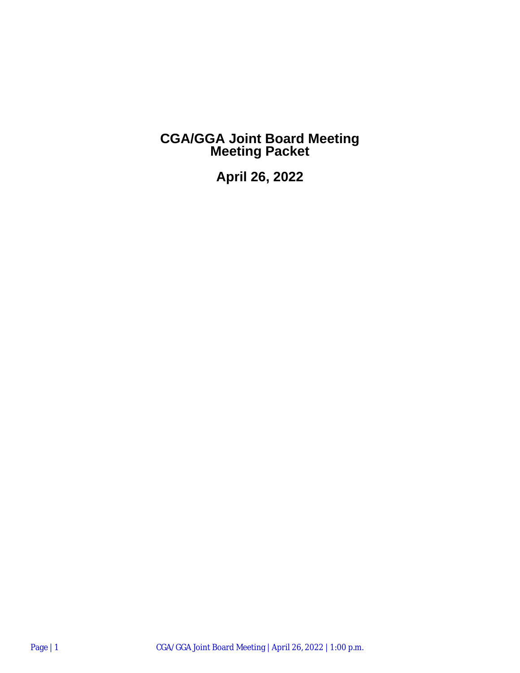# **CGA/GGA Joint Board Meeting Meeting Packet**

**April 26, 2022**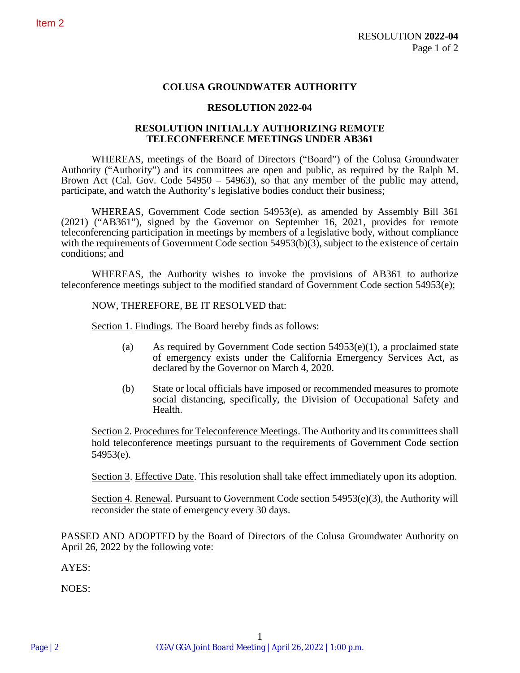#### **COLUSA GROUNDWATER AUTHORITY**

#### **RESOLUTION 2022-04**

#### **RESOLUTION INITIALLY AUTHORIZING REMOTE TELECONFERENCE MEETINGS UNDER AB361**

WHEREAS, meetings of the Board of Directors ("Board") of the Colusa Groundwater Authority ("Authority") and its committees are open and public, as required by the Ralph M. Brown Act (Cal. Gov. Code 54950 – 54963), so that any member of the public may attend, participate, and watch the Authority's legislative bodies conduct their business;

WHEREAS, Government Code section 54953(e), as amended by Assembly Bill 361 (2021) ("AB361"), signed by the Governor on September 16, 2021, provides for remote teleconferencing participation in meetings by members of a legislative body, without compliance with the requirements of Government Code section 54953(b)(3), subject to the existence of certain conditions; and

WHEREAS, the Authority wishes to invoke the provisions of AB361 to authorize teleconference meetings subject to the modified standard of Government Code section 54953(e);

NOW, THEREFORE, BE IT RESOLVED that:

Section 1. Findings. The Board hereby finds as follows:

- (a) As required by Government Code section  $54953(e)(1)$ , a proclaimed state of emergency exists under the California Emergency Services Act, as declared by the Governor on March 4, 2020.
- (b) State or local officials have imposed or recommended measures to promote social distancing, specifically, the Division of Occupational Safety and Health.

Section 2. Procedures for Teleconference Meetings. The Authority and its committees shall hold teleconference meetings pursuant to the requirements of Government Code section 54953(e).

Section 3. Effective Date. This resolution shall take effect immediately upon its adoption.

Section 4. Renewal. Pursuant to Government Code section 54953(e)(3), the Authority will reconsider the state of emergency every 30 days.

PASSED AND ADOPTED by the Board of Directors of the Colusa Groundwater Authority on April 26, 2022 by the following vote:

AYES:

NOES: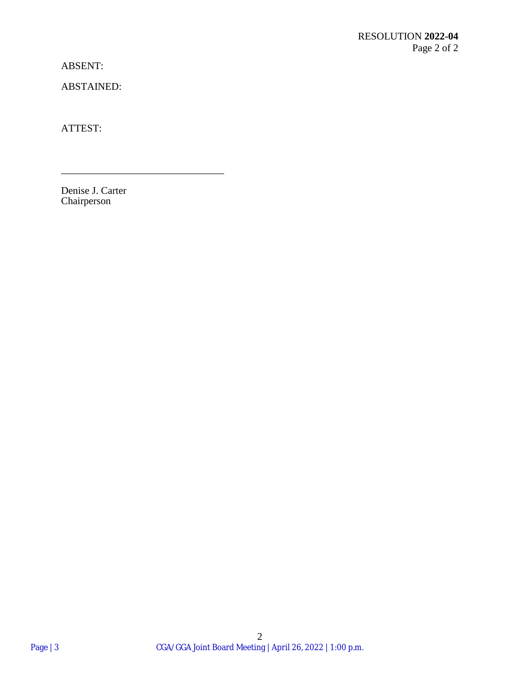ABSENT:

ABSTAINED:

ATTEST:

Denise J. Carter Chairperson

 $\overline{\phantom{a}}$  , where  $\overline{\phantom{a}}$  , where  $\overline{\phantom{a}}$  ,  $\overline{\phantom{a}}$  ,  $\overline{\phantom{a}}$  ,  $\overline{\phantom{a}}$  ,  $\overline{\phantom{a}}$  ,  $\overline{\phantom{a}}$  ,  $\overline{\phantom{a}}$  ,  $\overline{\phantom{a}}$  ,  $\overline{\phantom{a}}$  ,  $\overline{\phantom{a}}$  ,  $\overline{\phantom{a}}$  ,  $\overline{\phantom{a}}$  ,  $\overline{\phantom{a}}$  ,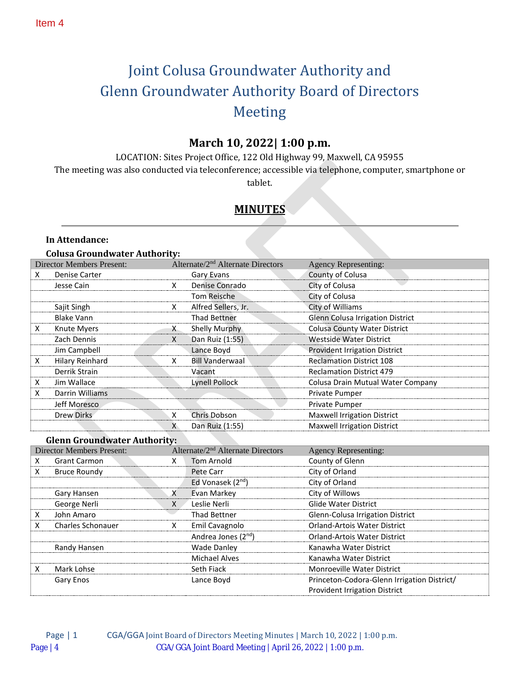# Joint Colusa Groundwater Authority and Glenn Groundwater Authority Board of Directors Meeting

# **March 10, 2022| 1:00 p.m.**

LOCATION: Sites Project Office, 122 Old Highway 99, Maxwell, CA 95955

The meeting was also conducted via teleconference; accessible via telephone, computer, smartphone or

tablet.

# **MINUTES**

#### **In Attendance:**

#### **Colusa Groundwater Authority:**

| <b>Director Members Present:</b> |                        | Alternate/2 <sup>nd</sup> Alternate Directors |                        | <b>Agency Representing:</b>          |
|----------------------------------|------------------------|-----------------------------------------------|------------------------|--------------------------------------|
|                                  | <b>Denise Carter</b>   |                                               | Gary Evans             | County of Colusa                     |
|                                  | Jesse Cain             |                                               | Denise Conrado         | City of Colusa                       |
|                                  |                        |                                               | Tom Reische            | City of Colusa                       |
|                                  | Sajit Singh            |                                               | Alfred Sellers, Jr.    | City of Williams                     |
|                                  | <b>Blake Vann</b>      |                                               | Thad Bettner           | Glenn Colusa Irrigation District     |
| х                                | <b>Knute Myers</b>     | X                                             | <b>Shelly Murphy</b>   | <b>Colusa County Water District</b>  |
|                                  | Zach Dennis            |                                               | Dan Ruiz (1:55)        | Westside Water District              |
|                                  | Jim Campbell           |                                               | Lance Boyd             | <b>Provident Irrigation District</b> |
| х                                | <b>Hilary Reinhard</b> | x                                             | <b>Bill Vanderwaal</b> | <b>Reclamation District 108</b>      |
|                                  | Derrik Strain          |                                               | Vacant                 | <b>Reclamation District 479</b>      |
| х                                | Jim Wallace            |                                               | Lynell Pollock         | Colusa Drain Mutual Water Company    |
| х                                | Darrin Williams        |                                               |                        | <b>Private Pumper</b>                |
|                                  | Jeff Moresco           |                                               |                        | Private Pumper                       |
|                                  | Drew Dirks             | x                                             | Chris Dobson           | <b>Maxwell Irrigation District</b>   |
|                                  |                        | X.                                            | Dan Ruiz (1:55)        | <b>Maxwell Irrigation District</b>   |

#### **Glenn Groundwater Authority:**

| <b>Director Members Present:</b> |                          |   | Alternate/2 <sup>nd</sup> Alternate Directors | <b>Agency Representing:</b>                 |
|----------------------------------|--------------------------|---|-----------------------------------------------|---------------------------------------------|
| X                                | <b>Grant Carmon</b>      |   | Tom Arnold                                    | County of Glenn                             |
|                                  | Bruce Roundy             |   | Pete Carr                                     | City of Orland                              |
|                                  |                          |   | Ed Vonasek (2 <sup>nd</sup> )                 | City of Orland                              |
|                                  | Gary Hansen              | X | <b>Evan Markey</b>                            | City of Willows                             |
|                                  | George Nerli             |   | Leslie Nerli                                  | Glide Water District                        |
| x                                | John Amaro               |   | <b>Thad Bettner</b>                           | Glenn-Colusa Irrigation District            |
|                                  | <b>Charles Schonauer</b> | x | Emil Cavagnolo                                | <b>Orland-Artois Water District</b>         |
|                                  |                          |   | Andrea Jones (2 <sup>nd</sup> )               | <b>Orland-Artois Water District</b>         |
|                                  | Randy Hansen             |   | Wade Danley                                   | Kanawha Water District                      |
|                                  |                          |   | <b>Michael Alves</b>                          | Kanawha Water District                      |
|                                  | Mark Lohse               |   | Seth Fiack                                    | <b>Monroeville Water District</b>           |
|                                  | Gary Enos                |   | Lance Boyd                                    | Princeton-Codora-Glenn Irrigation District/ |
|                                  |                          |   |                                               | <b>Provident Irrigation District</b>        |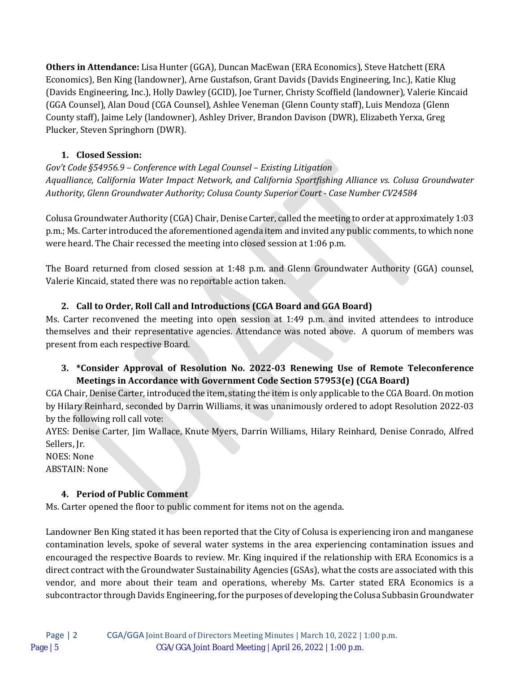**Others in Attendance:** Lisa Hunter (GGA), Duncan MacEwan (ERA Economics), Steve Hatchett (ERA Economics), Ben King (landowner), Arne Gustafson, Grant Davids (Davids Engineering, Inc.), Katie Klug (Davids Engineering, Inc.), Holly Dawley (GCID), Joe Turner, Christy Scoffield (landowner), Valerie Kincaid (GGA Counsel), Alan Doud (CGA Counsel), Ashlee Veneman (Glenn County staff), Luis Mendoza (Glenn County staff), Jaime Lely (landowner), Ashley Driver, Brandon Davison (DWR), Elizabeth Yerxa, Greg Plucker, Steven Springhorn (DWR).

## **1. Closed Session:**

*Gov't Code §54956.9 – Conference with Legal Counsel – Existing Litigation Aqualliance, California Water Impact Network, and California Sportfishing Alliance vs. Colusa Groundwater Authority, Glenn Groundwater Authority; Colusa County Superior Court - Case Number CV24584*

Colusa Groundwater Authority (CGA) Chair, Denise Carter, called the meeting to order at approximately 1:03 p.m.; Ms. Carter introduced the aforementioned agenda item and invited any public comments, to which none were heard. The Chair recessed the meeting into closed session at 1:06 p.m.

The Board returned from closed session at 1:48 p.m. and Glenn Groundwater Authority (GGA) counsel, Valerie Kincaid, stated there was no reportable action taken.

# **2. Call to Order, Roll Call and Introductions (CGA Board and GGA Board)**

Ms. Carter reconvened the meeting into open session at 1:49 p.m. and invited attendees to introduce themselves and their representative agencies. Attendance was noted above. A quorum of members was present from each respective Board.

### **3. \*Consider Approval of Resolution No. 2022-03 Renewing Use of Remote Teleconference Meetings in Accordance with Government Code Section 57953(e) (CGA Board)**

CGA Chair, Denise Carter, introduced the item, stating the item is only applicable to the CGA Board. On motion by Hilary Reinhard, seconded by Darrin Williams, it was unanimously ordered to adopt Resolution 2022-03 by the following roll call vote:

AYES: Denise Carter, Jim Wallace, Knute Myers, Darrin Williams, Hilary Reinhard, Denise Conrado, Alfred Sellers, Jr.

NOES: None

ABSTAIN: None

# **4. Period of Public Comment**

Ms. Carter opened the floor to public comment for items not on the agenda.

Landowner Ben King stated it has been reported that the City of Colusa is experiencing iron and manganese contamination levels, spoke of several water systems in the area experiencing contamination issues and encouraged the respective Boards to review. Mr. King inquired if the relationship with ERA Economics is a direct contract with the Groundwater Sustainability Agencies (GSAs), what the costs are associated with this vendor, and more about their team and operations, whereby Ms. Carter stated ERA Economics is a subcontractor through Davids Engineering, for the purposes of developing the Colusa Subbasin Groundwater